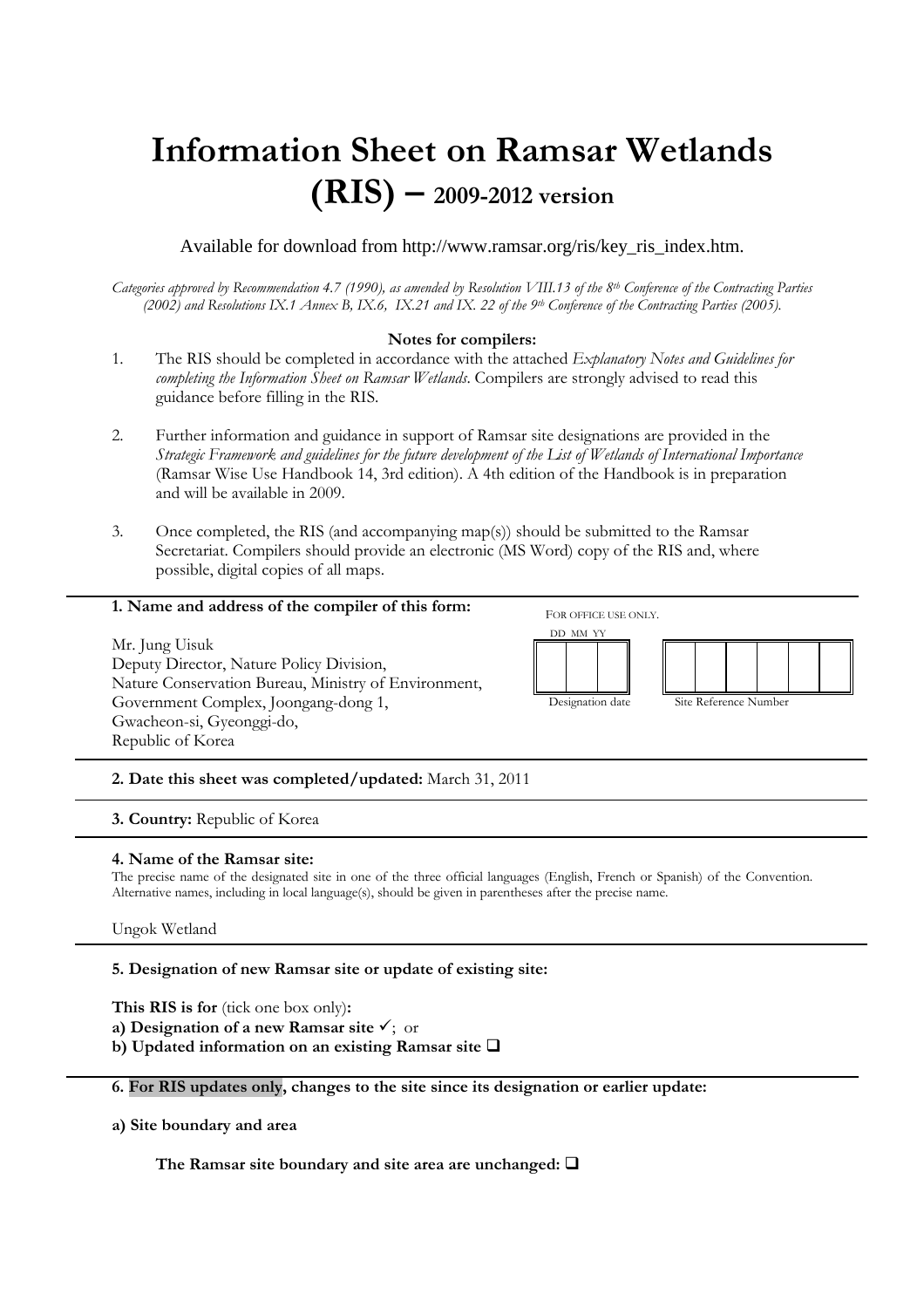# **Information Sheet on Ramsar Wetlands (RIS) – 2009-2012 version**

Available for download from http://www.ramsar.org/ris/key\_ris\_index.htm.

*Categories approved by Recommendation 4.7 (1990), as amended by Resolution VIII.13 of the 8th Conference of the Contracting Parties (2002) and Resolutions IX.1 Annex B, IX.6, IX.21 and IX. 22 of the 9th Conference of the Contracting Parties (2005).* 

# **Notes for compilers:**

- 1. The RIS should be completed in accordance with the attached *Explanatory Notes and Guidelines for completing the Information Sheet on Ramsar Wetlands*. Compilers are strongly advised to read this guidance before filling in the RIS.
- 2. Further information and guidance in support of Ramsar site designations are provided in the *Strategic Framework and guidelines for the future development of the List of Wetlands of International Importance*  (Ramsar Wise Use Handbook 14, 3rd edition). A 4th edition of the Handbook is in preparation and will be available in 2009.
- 3. Once completed, the RIS (and accompanying map(s)) should be submitted to the Ramsar Secretariat. Compilers should provide an electronic (MS Word) copy of the RIS and, where possible, digital copies of all maps.

## **1. Name and address of the compiler of this form:**

Mr. Jung Uisuk Deputy Director, Nature Policy Division, Nature Conservation Bureau, Ministry of Environment, Government Complex, Joongang-dong 1, Gwacheon-si, Gyeonggi-do, Republic of Korea



FOR OFFICE USE ONLY.



Designation date Site Reference Number

**2. Date this sheet was completed/updated:** March 31, 2011

**3. Country:** Republic of Korea

## **4. Name of the Ramsar site:**

The precise name of the designated site in one of the three official languages (English, French or Spanish) of the Convention. Alternative names, including in local language(s), should be given in parentheses after the precise name.

Ungok Wetland

# **5. Designation of new Ramsar site or update of existing site:**

**This RIS is for** (tick one box only)**:** 

**a) Designation of a new Ramsar site**  $\checkmark$ **;** or

**b**) Updated information on an existing Ramsar site  $\Box$ 

**6. For RIS updates only, changes to the site since its designation or earlier update:** 

**a) Site boundary and area** 

The Ramsar site boundary and site area are unchanged:  $\Box$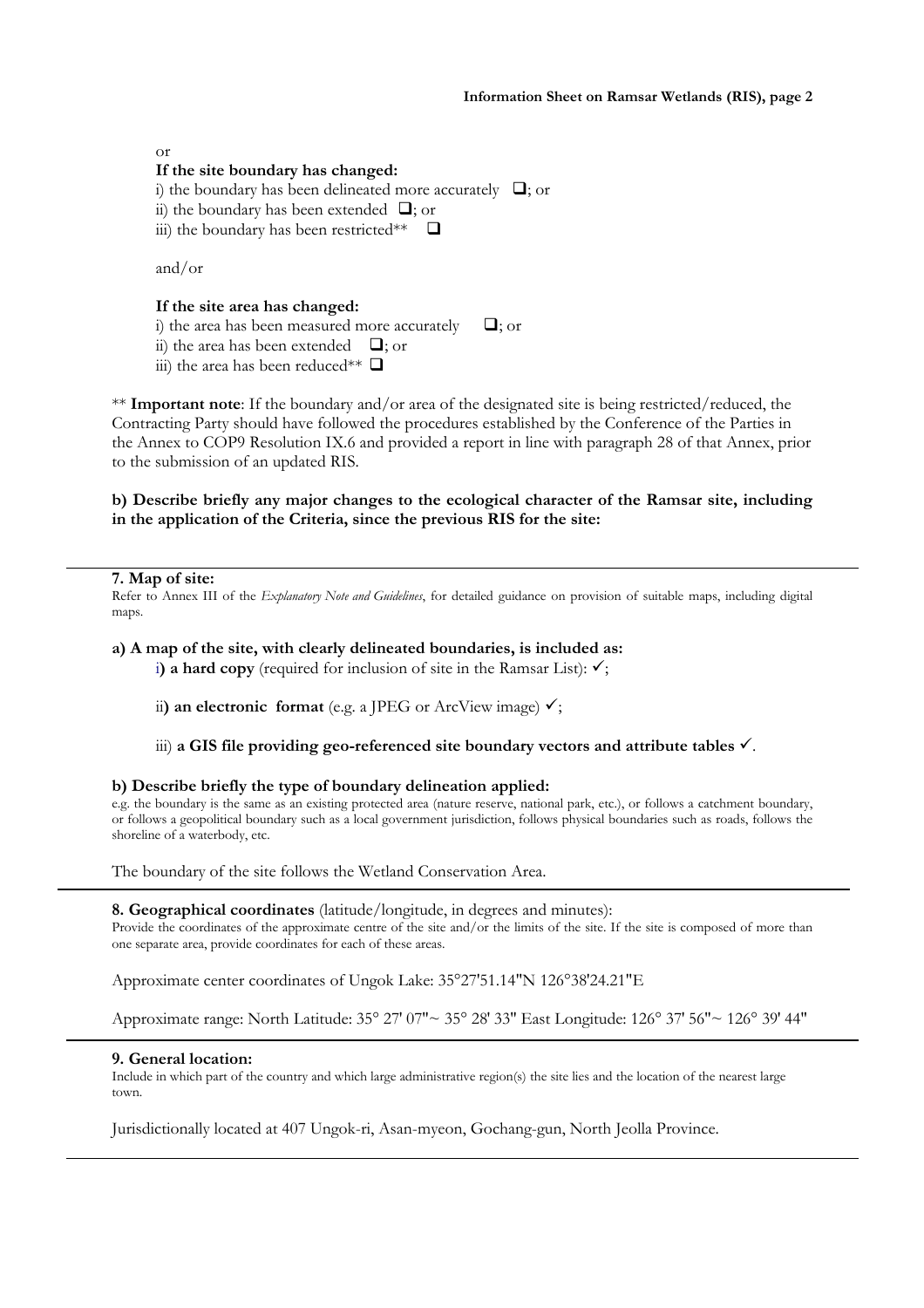or

# **If the site boundary has changed:**

i) the boundary has been delineated more accurately  $\Box$ ; or

ii) the boundary has been extended  $\Box$ ; or

iii) the boundary has been restricted\*\*  $\Box$ 

and/or

# **If the site area has changed:**

i) the area has been measured more accurately  $\Box$ : or

ii) the area has been extended  $\Box$ ; or

iii) the area has been reduced\*\*  $\Box$ 

\*\* **Important note**: If the boundary and/or area of the designated site is being restricted/reduced, the Contracting Party should have followed the procedures established by the Conference of the Parties in the Annex to COP9 Resolution IX.6 and provided a report in line with paragraph 28 of that Annex, prior to the submission of an updated RIS.

# **b) Describe briefly any major changes to the ecological character of the Ramsar site, including in the application of the Criteria, since the previous RIS for the site:**

#### **7. Map of site:**

Refer to Annex III of the *Explanatory Note and Guidelines*, for detailed guidance on provision of suitable maps, including digital maps.

#### **a) A map of the site, with clearly delineated boundaries, is included as:**

i) a hard copy (required for inclusion of site in the Ramsar List):  $\checkmark$ ;

ii) an electronic format (e.g. a JPEG or ArcView image)  $\checkmark$ ;

iii) a GIS file providing geo-referenced site boundary vectors and attribute tables  $\checkmark$ .

## **b) Describe briefly the type of boundary delineation applied:**

e.g. the boundary is the same as an existing protected area (nature reserve, national park, etc.), or follows a catchment boundary, or follows a geopolitical boundary such as a local government jurisdiction, follows physical boundaries such as roads, follows the shoreline of a waterbody, etc.

The boundary of the site follows the Wetland Conservation Area.

**8. Geographical coordinates** (latitude/longitude, in degrees and minutes):

Provide the coordinates of the approximate centre of the site and/or the limits of the site. If the site is composed of more than one separate area, provide coordinates for each of these areas.

Approximate center coordinates of Ungok Lake: 35°27'51.14"N 126°38'24.21"E

Approximate range: North Latitude: 35° 27′ 07″~ 35° 28′ 33″ East Longitude: 126° 37′ 56″~ 126° 39′ 44″

## **9. General location:**

Include in which part of the country and which large administrative region(s) the site lies and the location of the nearest large town.

Jurisdictionally located at 407 Ungok-ri, Asan-myeon, Gochang-gun, North Jeolla Province.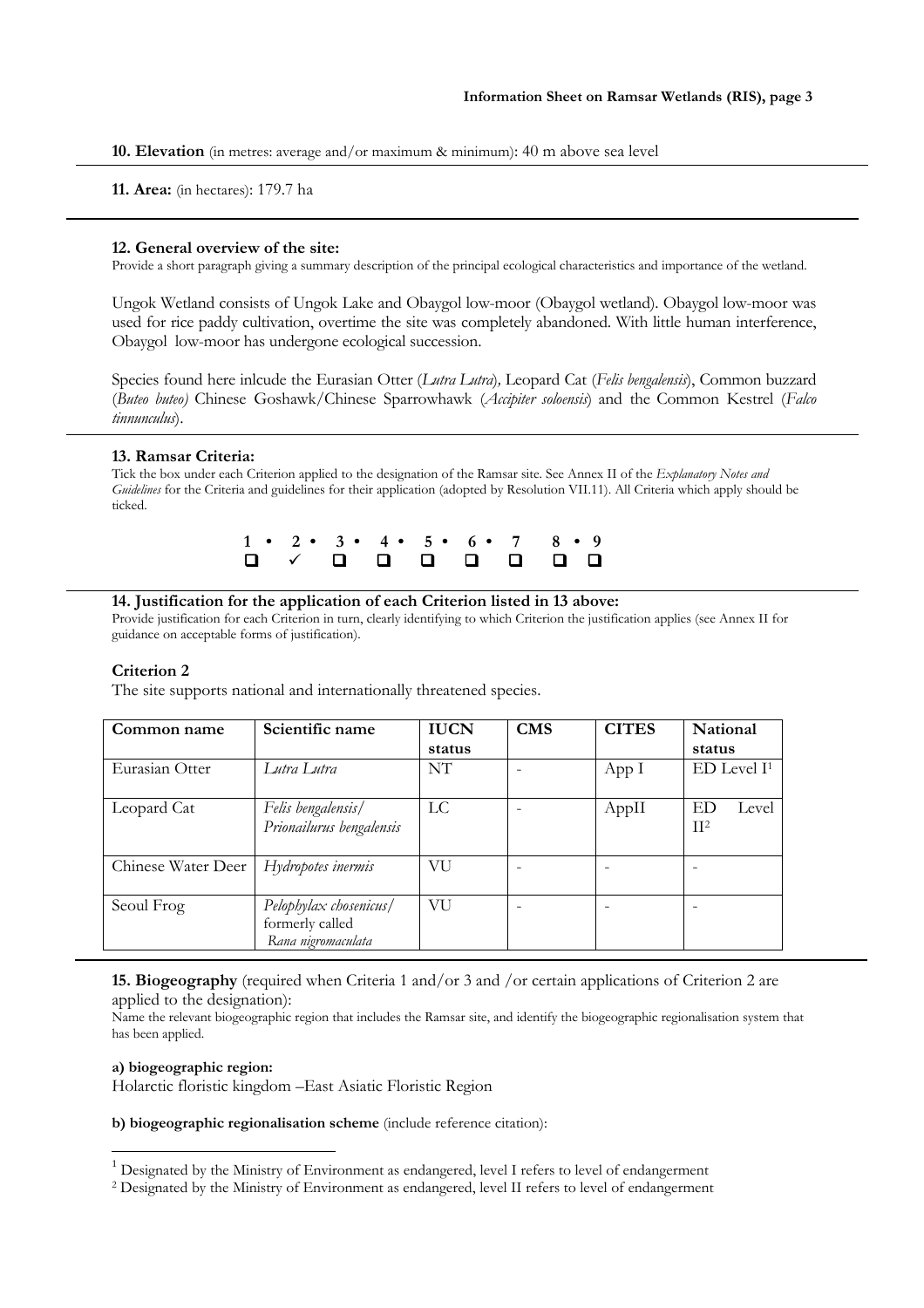**10. Elevation** (in metres: average and/or maximum & minimum): 40 m above sea level

**11. Area:** (in hectares): 179.7 ha

#### **12. General overview of the site:**

Provide a short paragraph giving a summary description of the principal ecological characteristics and importance of the wetland.

Ungok Wetland consists of Ungok Lake and Obaygol low-moor (Obaygol wetland). Obaygol low-moor was used for rice paddy cultivation, overtime the site was completely abandoned. With little human interference, Obaygol low-moor has undergone ecological succession.

Species found here inlcude the Eurasian Otter (*Lutra Lutra*)*,* Leopard Cat (*Felis bengalensis*), Common buzzard (*Buteo buteo)* Chinese Goshawk/Chinese Sparrowhawk (*Accipiter soloensis*) and the Common Kestrel (*Falco tinnunculus*).

#### **13. Ramsar Criteria:**

Tick the box under each Criterion applied to the designation of the Ramsar site. See Annex II of the *Explanatory Notes and Guidelines* for the Criteria and guidelines for their application (adopted by Resolution VII.11). All Criteria which apply should be ticked.

|  |  |  | $1 \cdot 2 \cdot 3 \cdot 4 \cdot 5 \cdot 6 \cdot 7 \cdot 8 \cdot 9$ |
|--|--|--|---------------------------------------------------------------------|
|  |  |  |                                                                     |

#### **14. Justification for the application of each Criterion listed in 13 above:**

Provide justification for each Criterion in turn, clearly identifying to which Criterion the justification applies (see Annex II for guidance on acceptable forms of justification).

## **Criterion 2**

The site supports national and internationally threatened species.

| Common name        | Scientific name                                                 | <b>IUCN</b> | <b>CMS</b> | <b>CITES</b> | National               |  |  |  |  |
|--------------------|-----------------------------------------------------------------|-------------|------------|--------------|------------------------|--|--|--|--|
|                    |                                                                 | status      |            |              | status                 |  |  |  |  |
| Eurasian Otter     | Lutra Lutra                                                     | NT          |            | App I        | $ED$ Level $I1$        |  |  |  |  |
| Leopard Cat        | Felis bengalensis/<br>Prionailurus bengalensis                  | LC          |            | AppII        | ED<br>Level<br>$\Pi^2$ |  |  |  |  |
| Chinese Water Deer | Hydropotes inermis                                              | VU          |            |              |                        |  |  |  |  |
| Seoul Frog         | Pelophylax chosenicus/<br>formerly called<br>Rana nigromaculata | VU          |            |              |                        |  |  |  |  |

**15. Biogeography** (required when Criteria 1 and/or 3 and /or certain applications of Criterion 2 are applied to the designation):

Name the relevant biogeographic region that includes the Ramsar site, and identify the biogeographic regionalisation system that has been applied.

#### **a) biogeographic region:**

 $\overline{a}$ 

Holarctic floristic kingdom –East Asiatic Floristic Region

**b) biogeographic regionalisation scheme** (include reference citation):

 $<sup>1</sup>$  Designated by the Ministry of Environment as endangered, level I refers to level of endangerment</sup>

<sup>2</sup> Designated by the Ministry of Environment as endangered, level II refers to level of endangerment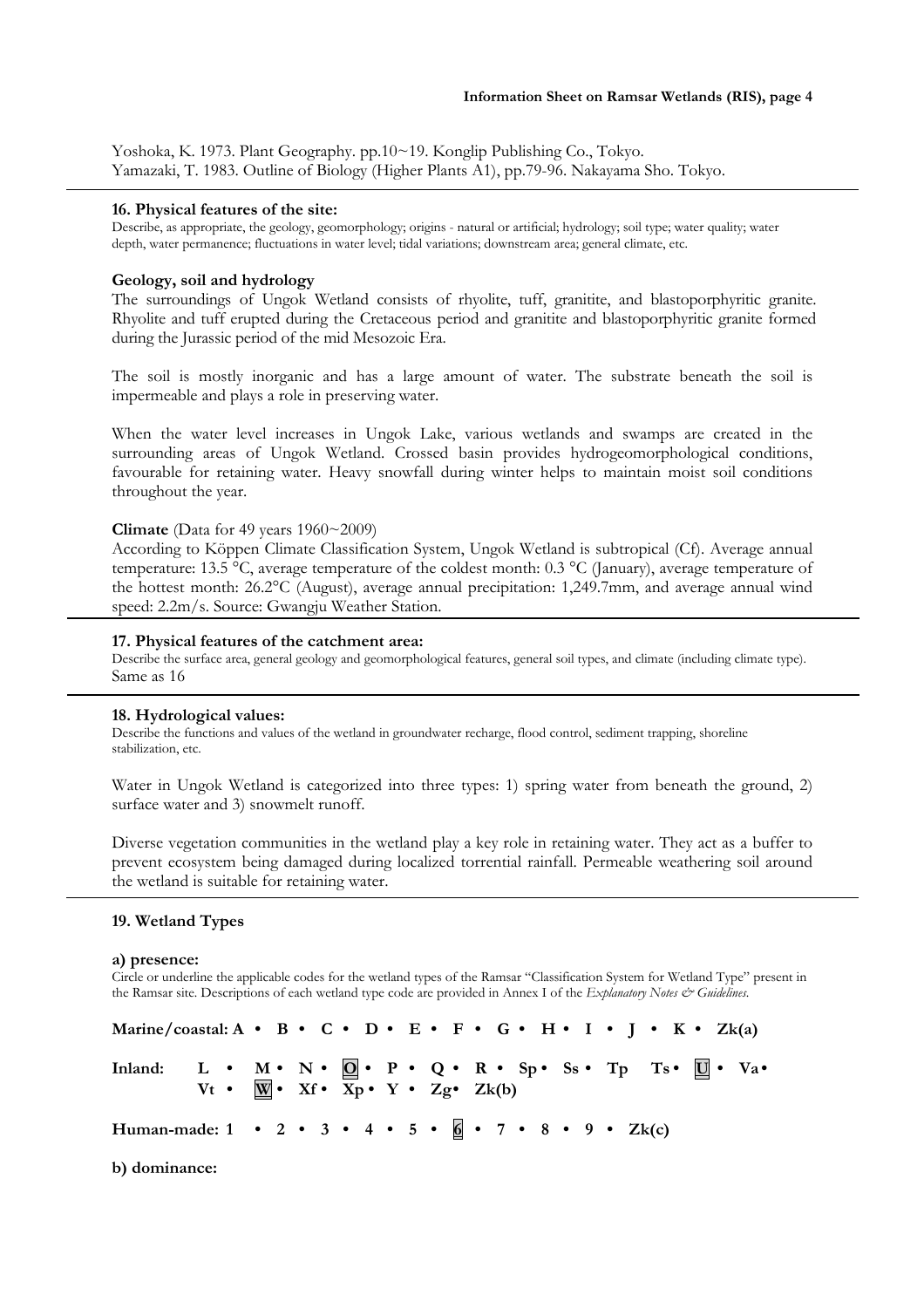Yoshoka, K. 1973. Plant Geography. pp.10~19. Konglip Publishing Co., Tokyo. Yamazaki, T. 1983. Outline of Biology (Higher Plants A1), pp.79-96. Nakayama Sho. Tokyo.

#### **16. Physical features of the site:**

Describe, as appropriate, the geology, geomorphology; origins - natural or artificial; hydrology; soil type; water quality; water depth, water permanence; fluctuations in water level; tidal variations; downstream area; general climate, etc.

## **Geology, soil and hydrology**

The surroundings of Ungok Wetland consists of rhyolite, tuff, granitite, and blastoporphyritic granite. Rhyolite and tuff erupted during the Cretaceous period and granitite and blastoporphyritic granite formed during the Jurassic period of the mid Mesozoic Era.

The soil is mostly inorganic and has a large amount of water. The substrate beneath the soil is impermeable and plays a role in preserving water.

When the water level increases in Ungok Lake, various wetlands and swamps are created in the surrounding areas of Ungok Wetland. Crossed basin provides hydrogeomorphological conditions, favourable for retaining water. Heavy snowfall during winter helps to maintain moist soil conditions throughout the year.

#### **Climate** (Data for 49 years 1960~2009)

According to Köppen Climate Classification System, Ungok Wetland is subtropical (Cf). Average annual temperature: 13.5 °C, average temperature of the coldest month: 0.3 °C (January), average temperature of the hottest month: 26.2°C (August), average annual precipitation: 1,249.7mm, and average annual wind speed: 2.2m/s. Source: Gwangju Weather Station.

## **17. Physical features of the catchment area:**

Describe the surface area, general geology and geomorphological features, general soil types, and climate (including climate type). Same as 16

#### **18. Hydrological values:**

Describe the functions and values of the wetland in groundwater recharge, flood control, sediment trapping, shoreline stabilization, etc.

Water in Ungok Wetland is categorized into three types: 1) spring water from beneath the ground, 2) surface water and 3) snowmelt runoff.

Diverse vegetation communities in the wetland play a key role in retaining water. They act as a buffer to prevent ecosystem being damaged during localized torrential rainfall. Permeable weathering soil around the wetland is suitable for retaining water.

#### **19. Wetland Types**

#### **a) presence:**

Circle or underline the applicable codes for the wetland types of the Ramsar "Classification System for Wetland Type" present in the Ramsar site. Descriptions of each wetland type code are provided in Annex I of the *Explanatory Notes & Guidelines*.

| Marine/coastal: A • B • C • D • E • F • G • H • I • J • K • Zk(a)                           |                                                             |  |  |  |  |  |  |  |  |  |  |  |  |
|---------------------------------------------------------------------------------------------|-------------------------------------------------------------|--|--|--|--|--|--|--|--|--|--|--|--|
| Inland: L • M • N • $\mathbb{Q}$ • P • Q • R • Sp • Ss • Tp Ts • $\mathbb{U}$ • Va •        | $Vt \cdot W \cdot Xf \cdot Xp \cdot Y \cdot Zg \cdot Zk(b)$ |  |  |  |  |  |  |  |  |  |  |  |  |
| Human-made: $1 \cdot 2 \cdot 3 \cdot 4 \cdot 5 \cdot 6 \cdot 7 \cdot 8 \cdot 9 \cdot 2k(c)$ |                                                             |  |  |  |  |  |  |  |  |  |  |  |  |

**b) dominance:**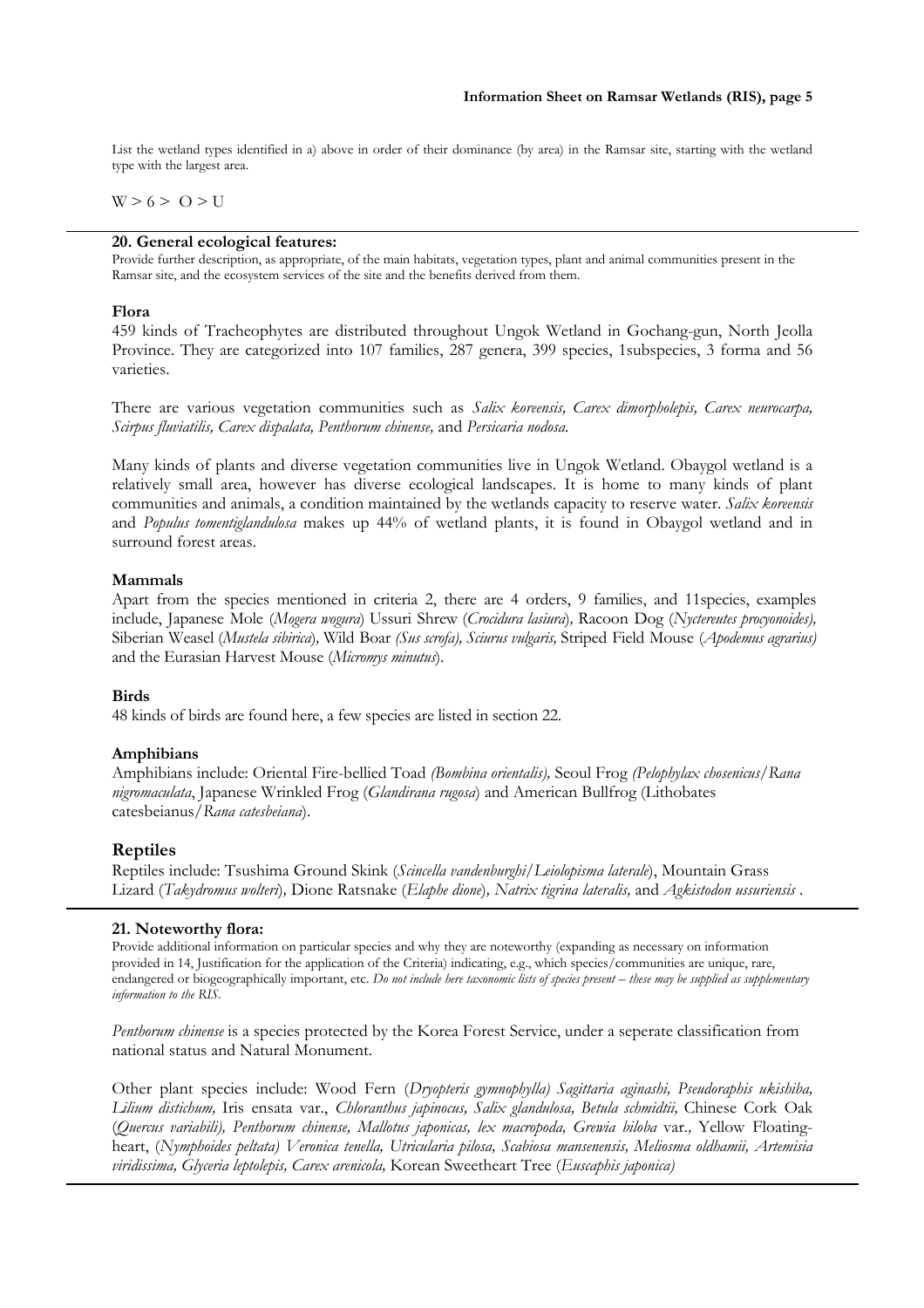List the wetland types identified in a) above in order of their dominance (by area) in the Ramsar site, starting with the wetland type with the largest area.

 $W > 6 > 0 > U$ 

#### **20. General ecological features:**

Provide further description, as appropriate, of the main habitats, vegetation types, plant and animal communities present in the Ramsar site, and the ecosystem services of the site and the benefits derived from them.

#### **Flora**

459 kinds of Tracheophytes are distributed throughout Ungok Wetland in Gochang-gun, North Jeolla Province. They are categorized into 107 families, 287 genera, 399 species, 1subspecies, 3 forma and 56 varieties.

There are various vegetation communities such as *Salix koreensis, Carex dimorpholepis, Carex neurocarpa, Scirpus fluviatilis, Carex dispalata, Penthorum chinense,* and *Persicaria nodosa.* 

Many kinds of plants and diverse vegetation communities live in Ungok Wetland. Obaygol wetland is a relatively small area, however has diverse ecological landscapes. It is home to many kinds of plant communities and animals, a condition maintained by the wetlands capacity to reserve water. *Salix koreensis* and *Populus tomentiglandulosa* makes up 44% of wetland plants, it is found in Obaygol wetland and in surround forest areas.

#### **Mammals**

Apart from the species mentioned in criteria 2, there are 4 orders, 9 families, and 11species, examples include, Japanese Mole (*Mogera wogura*) Ussuri Shrew (*Crocidura lasiura*)*,* Racoon Dog (*Nyctereutes procyonoides),*  Siberian Weasel (*Mustela sibirica*)*,* Wild Boar *(Sus scrofa), Sciurus vulgaris,* Striped Field Mouse (*Apodemus agrarius)*  and the Eurasian Harvest Mouse (*Micromys minutus*).

## **Birds**

48 kinds of birds are found here, a few species are listed in section 22.

## **Amphibians**

Amphibians include: Oriental Fire-bellied Toad *(Bombina orientalis),* Seoul Frog *(Pelophylax chosenicus/Rana nigromaculata*, Japanese Wrinkled Frog (*Glandirana rugosa*) and American Bullfrog (Lithobates catesbeianus/*Rana catesbeiana*).

## **Reptiles**

Reptiles include: Tsushima Ground Skink (*Scincella vandenburghi*/*Leiolopisma laterale*), Mountain Grass Lizard (*Takydromus wolteri*)*,* Dione Ratsnake (*Elaphe dione*)*, Natrix tigrina lateralis,* and *Agkistodon ussuriensis* .

#### **21. Noteworthy flora:**

Provide additional information on particular species and why they are noteworthy (expanding as necessary on information provided in 14, Justification for the application of the Criteria) indicating, e.g., which species/communities are unique, rare, endangered or biogeographically important, etc. *Do not include here taxonomic lists of species present – these may be supplied as supplementary information to the RIS.* 

*Penthorum chinense* is a species protected by the Korea Forest Service, under a seperate classification from national status and Natural Monument.

Other plant species include: Wood Fern (*Dryopteris gymnophylla) Sagittaria aginashi, Pseudoraphis ukishiba, Lilium distichum,* Iris ensata var., *Chloranthus japinocus, Salix glandulosa, Betula schmidtii,* Chinese Cork Oak (*Quercus variabili), Penthorum chinense, Mallotus japonicas, lex macropoda, Grewia biloba* var.*,* Yellow Floatingheart, (*Nymphoides peltata) Veronica tenella, Utricularia pilosa, Scabiosa mansenensis, Meliosma oldhamii, Artemisia viridissima, Glyceria leptolepis, Carex arenicola,* Korean Sweetheart Tree (*Euscaphis japonica)*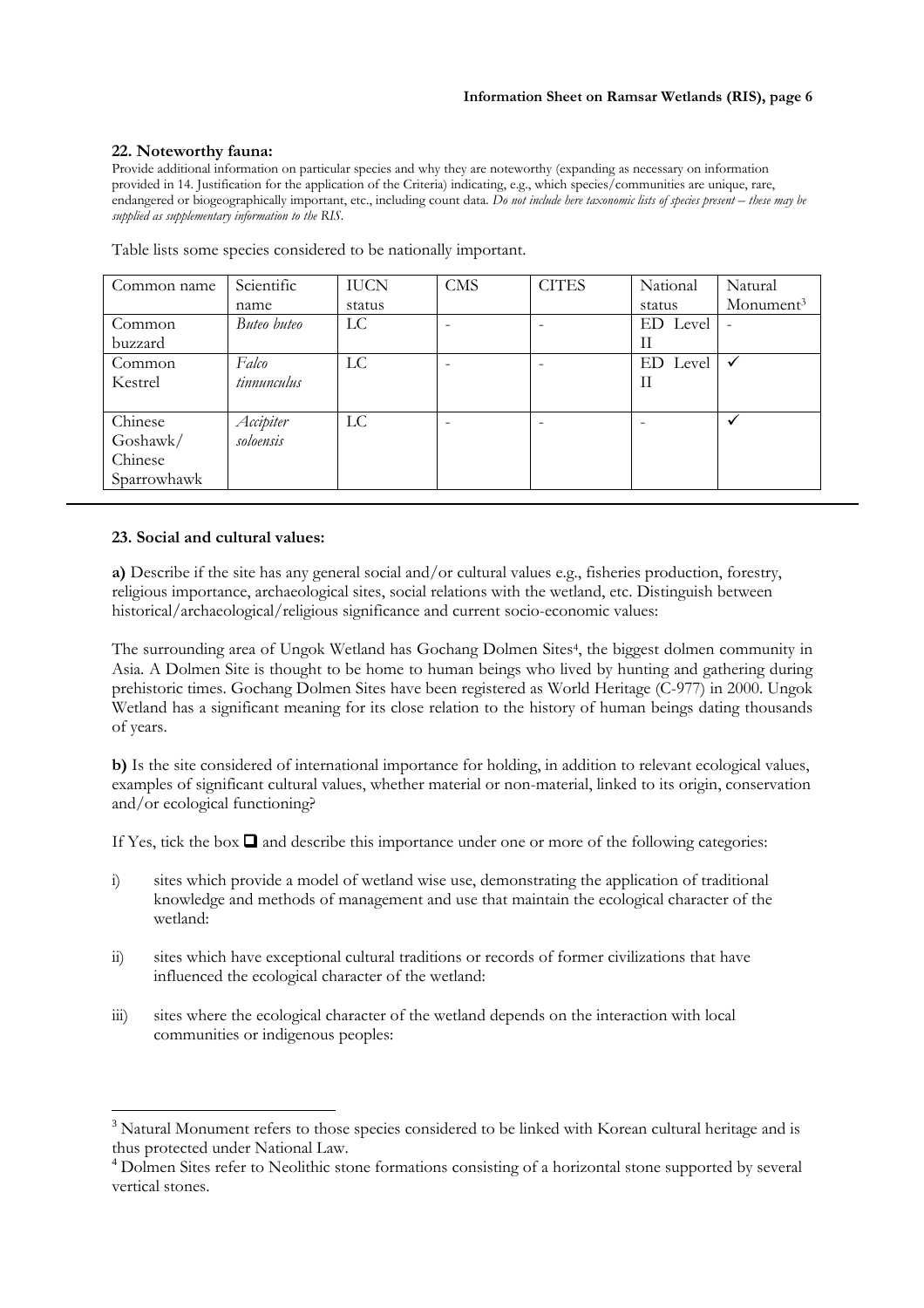## **22. Noteworthy fauna:**

Provide additional information on particular species and why they are noteworthy (expanding as necessary on information provided in 14. Justification for the application of the Criteria) indicating, e.g., which species/communities are unique, rare, endangered or biogeographically important, etc., including count data. *Do not include here taxonomic lists of species present – these may be supplied as supplementary information to the RIS.*

| Common name | Scientific  | <b>IUCN</b> | <b>CMS</b> | <b>CITES</b> | National | Natural               |
|-------------|-------------|-------------|------------|--------------|----------|-----------------------|
|             | name        | status      |            |              | status   | Monument <sup>3</sup> |
| Common      | Buteo buteo | <b>LC</b>   |            |              | ED Level |                       |
| buzzard     |             |             |            |              | П        |                       |
| Common      | Falco       | LC          |            |              | ED Level |                       |
| Kestrel     | tinnunculus |             |            |              | П        |                       |
|             |             |             |            |              |          |                       |
| Chinese     | Accipiter   | LC          | -          |              |          |                       |
| Goshawk/    | soloensis   |             |            |              |          |                       |
| Chinese     |             |             |            |              |          |                       |
| Sparrowhawk |             |             |            |              |          |                       |

Table lists some species considered to be nationally important.

# **23. Social and cultural values:**

 $\overline{a}$ 

**a)** Describe if the site has any general social and/or cultural values e.g., fisheries production, forestry, religious importance, archaeological sites, social relations with the wetland, etc. Distinguish between historical/archaeological/religious significance and current socio-economic values:

The surrounding area of Ungok Wetland has Gochang Dolmen Sites<sup>4</sup> , the biggest dolmen community in Asia. A Dolmen Site is thought to be home to human beings who lived by hunting and gathering during prehistoric times. Gochang Dolmen Sites have been registered as World Heritage (C-977) in 2000. Ungok Wetland has a significant meaning for its close relation to the history of human beings dating thousands of years.

**b)** Is the site considered of international importance for holding, in addition to relevant ecological values, examples of significant cultural values, whether material or non-material, linked to its origin, conservation and/or ecological functioning?

If Yes, tick the box  $\Box$  and describe this importance under one or more of the following categories:

- i) sites which provide a model of wetland wise use, demonstrating the application of traditional knowledge and methods of management and use that maintain the ecological character of the wetland:
- ii) sites which have exceptional cultural traditions or records of former civilizations that have influenced the ecological character of the wetland:
- iii) sites where the ecological character of the wetland depends on the interaction with local communities or indigenous peoples:

<sup>&</sup>lt;sup>3</sup> Natural Monument refers to those species considered to be linked with Korean cultural heritage and is thus protected under National Law.

<sup>&</sup>lt;sup>4</sup> Dolmen Sites refer to Neolithic stone formations consisting of a horizontal stone supported by several vertical stones.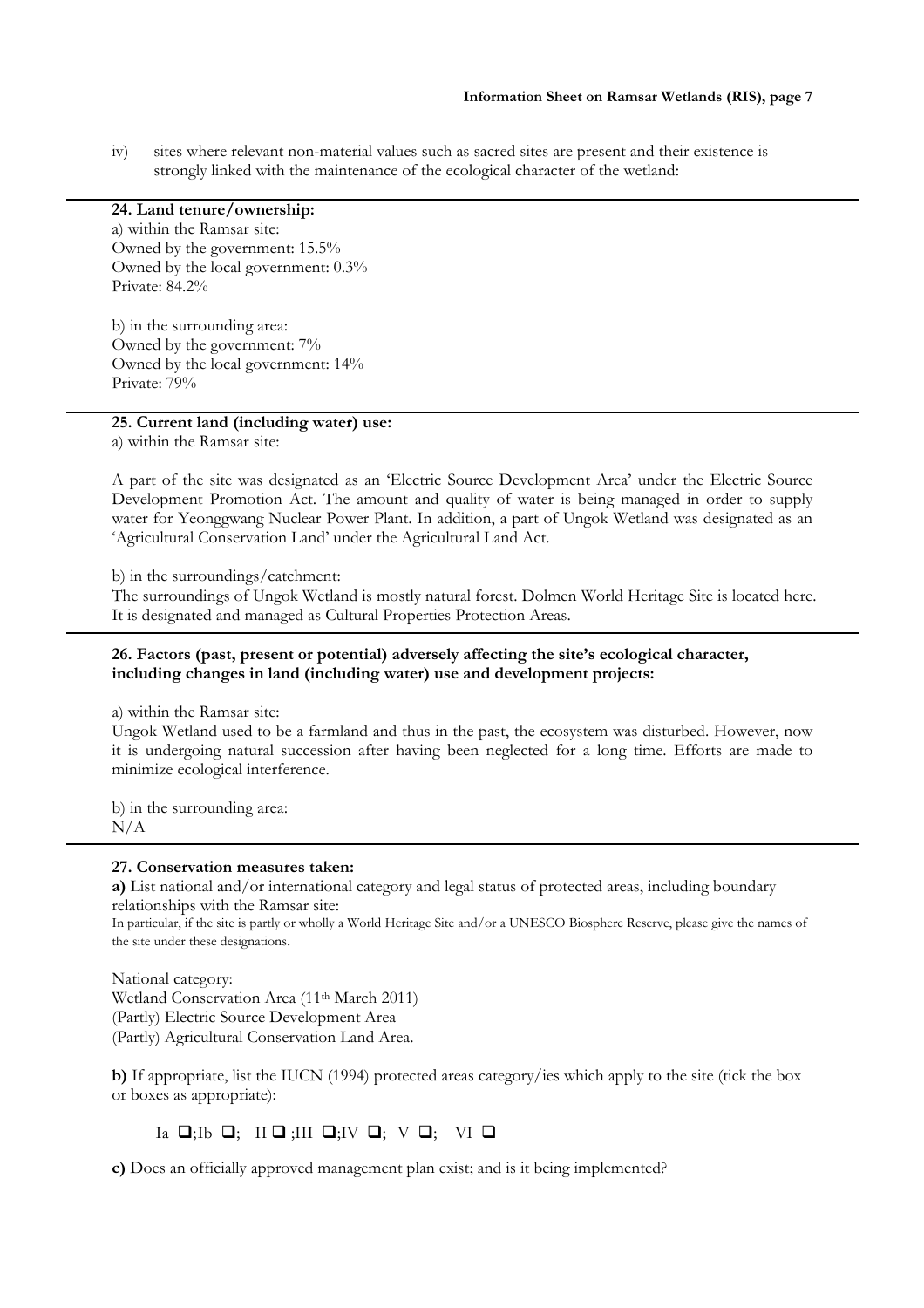iv) sites where relevant non-material values such as sacred sites are present and their existence is strongly linked with the maintenance of the ecological character of the wetland:

# **24. Land tenure/ownership:**

a) within the Ramsar site: Owned by the government: 15.5% Owned by the local government: 0.3% Private: 84.2%

b) in the surrounding area: Owned by the government: 7% Owned by the local government: 14% Private: 79%

# **25. Current land (including water) use:**

a) within the Ramsar site:

A part of the site was designated as an 'Electric Source Development Area' under the Electric Source Development Promotion Act. The amount and quality of water is being managed in order to supply water for Yeonggwang Nuclear Power Plant. In addition, a part of Ungok Wetland was designated as an 'Agricultural Conservation Land' under the Agricultural Land Act.

b) in the surroundings/catchment:

The surroundings of Ungok Wetland is mostly natural forest. Dolmen World Heritage Site is located here. It is designated and managed as Cultural Properties Protection Areas.

# **26. Factors (past, present or potential) adversely affecting the site's ecological character, including changes in land (including water) use and development projects:**

a) within the Ramsar site:

Ungok Wetland used to be a farmland and thus in the past, the ecosystem was disturbed. However, now it is undergoing natural succession after having been neglected for a long time. Efforts are made to minimize ecological interference.

b) in the surrounding area: N/A

#### **27. Conservation measures taken:**

**a)** List national and/or international category and legal status of protected areas, including boundary relationships with the Ramsar site:

In particular, if the site is partly or wholly a World Heritage Site and/or a UNESCO Biosphere Reserve, please give the names of the site under these designations.

National category: Wetland Conservation Area (11th March 2011) (Partly) Electric Source Development Area (Partly) Agricultural Conservation Land Area.

**b)** If appropriate, list the IUCN (1994) protected areas category/ies which apply to the site (tick the box or boxes as appropriate):

Ia  $\Box$ ;Ib  $\Box$ ; II  $\Box$ ;III  $\Box$ ;IV  $\Box$ ; V  $\Box$ ; VI  $\Box$ 

**c)** Does an officially approved management plan exist; and is it being implemented?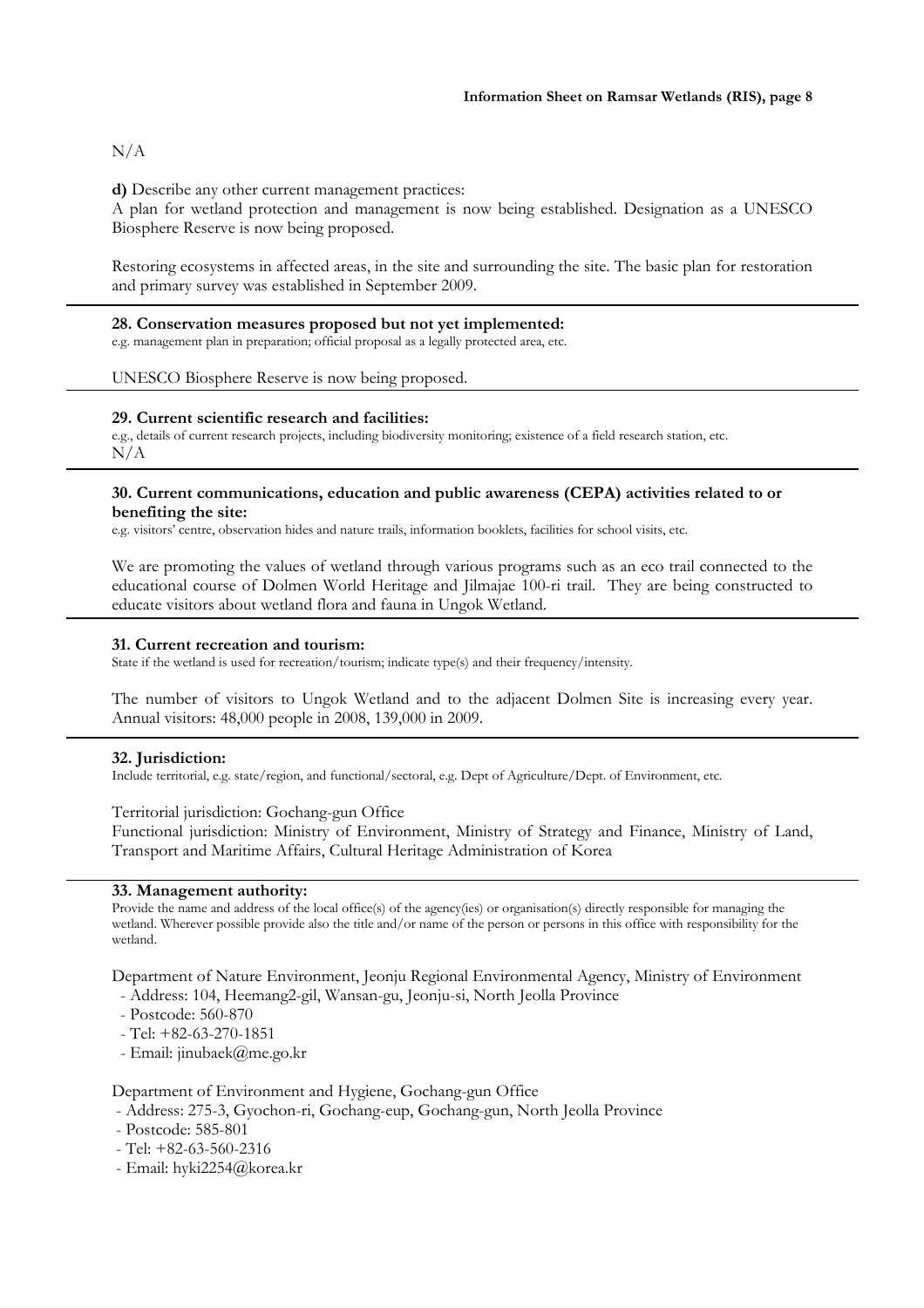# N/A

## **d)** Describe any other current management practices:

A plan for wetland protection and management is now being established. Designation as a UNESCO Biosphere Reserve is now being proposed.

Restoring ecosystems in affected areas, in the site and surrounding the site. The basic plan for restoration and primary survey was established in September 2009.

#### **28. Conservation measures proposed but not yet implemented:**

e.g. management plan in preparation; official proposal as a legally protected area, etc.

#### UNESCO Biosphere Reserve is now being proposed.

#### **29. Current scientific research and facilities:**

e.g., details of current research projects, including biodiversity monitoring; existence of a field research station, etc. N/A

#### **30. Current communications, education and public awareness (CEPA) activities related to or benefiting the site:**

e.g. visitors' centre, observation hides and nature trails, information booklets, facilities for school visits, etc.

We are promoting the values of wetland through various programs such as an eco trail connected to the educational course of Dolmen World Heritage and Jilmajae 100-ri trail. They are being constructed to educate visitors about wetland flora and fauna in Ungok Wetland.

#### **31. Current recreation and tourism:**

State if the wetland is used for recreation/tourism; indicate type(s) and their frequency/intensity.

The number of visitors to Ungok Wetland and to the adjacent Dolmen Site is increasing every year. Annual visitors: 48,000 people in 2008, 139,000 in 2009.

#### **32. Jurisdiction:**

Include territorial, e.g. state/region, and functional/sectoral, e.g. Dept of Agriculture/Dept. of Environment, etc.

## Territorial jurisdiction: Gochang-gun Office

Functional jurisdiction: Ministry of Environment, Ministry of Strategy and Finance, Ministry of Land, Transport and Maritime Affairs, Cultural Heritage Administration of Korea

## **33. Management authority:**

Provide the name and address of the local office(s) of the agency(ies) or organisation(s) directly responsible for managing the wetland. Wherever possible provide also the title and/or name of the person or persons in this office with responsibility for the wetland.

Department of Nature Environment, Jeonju Regional Environmental Agency, Ministry of Environment

- Address: 104, Heemang2-gil, Wansan-gu, Jeonju-si, North Jeolla Province
- Postcode: 560-870
- Tel: +82-63-270-1851
- Email: jinubaek@me.go.kr

#### Department of Environment and Hygiene, Gochang-gun Office

- Address: 275-3, Gyochon-ri, Gochang-eup, Gochang-gun, North Jeolla Province
- Postcode: 585-801
- Tel: +82-63-560-2316
- Email: hyki2254@korea.kr